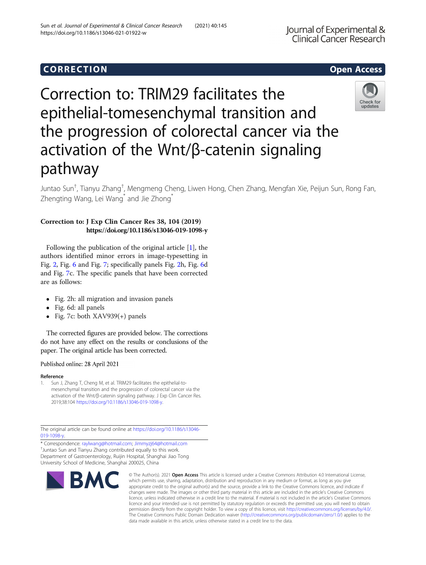# Correction to: TRIM29 facilitates the epithelial-tomesenchymal transition and the progression of colorectal cancer via the activation of the Wnt/β-catenin signaling pathway

Juntao Sun<sup>†</sup>, Tianyu Zhang<sup>†</sup>, Mengmeng Cheng, Liwen Hong, Chen Zhang, Mengfan Xie, Peijun Sun, Rong Fan, Zhengting Wang, Lei Wang\* and Jie Zhong\*

### Correction to: J Exp Clin Cancer Res 38, 104 (2019) https://doi.org/10.1186/s13046-019-1098-y

Sun et al. Journal of Experimental & Clinical Cancer Research (2021) 40:145

Following the publication of the original article [1], the authors identified minor errors in image-typesetting in Fig. [2](#page-1-0), Fig. [6](#page-1-0) and Fig. [7;](#page-2-0) specifically panels Fig. [2h](#page-1-0), Fig. [6](#page-1-0)d and Fig. [7](#page-2-0)c. The specific panels that have been corrected are as follows:

- Fig. 2h: all migration and invasion panels
- Fig. 6d: all panels
- Fig. 7c: both  $XAV939(+)$  panels

The corrected figures are provided below. The corrections do not have any effect on the results or conclusions of the paper. The original article has been corrected.

#### Published online: 28 April 2021

**BM** 

#### Reference

1. Sun J, Zhang T, Cheng M, et al. TRIM29 facilitates the epithelial-tomesenchymal transition and the progression of colorectal cancer via the activation of the Wnt/β-catenin signaling pathway. J Exp Clin Cancer Res. 2019;38:104 <https://doi.org/10.1186/s13046-019-1098-y>.

The original article can be found online at [https://doi.org/10.1186/s13046-](https://doi.org/10.1186/s13046-019-1098-y) [019-1098-y.](https://doi.org/10.1186/s13046-019-1098-y)

\* Correspondence: [raylwang@hotmail.com;](mailto:raylwang@hotmail.com) [Jimmyzj64@hotmail.com](mailto:Jimmyzj64@hotmail.com) † <sup>+</sup>Juntao Sun and Tianyu Zhang contributed equally to this work. Department of Gastroenterology, Ruijin Hospital, Shanghai Jiao Tong University School of Medicine, Shanghai 200025, China

## Corresponding to the corresponding to the corresponding to the corresponding to the corresponding to the corresponding to the corresponding to the corresponding to the corresponding to the corresponding to the correspondin

https://doi.org/10.1186/s13046-021-01922-w

© The Author(s), 2021 **Open Access** This article is licensed under a Creative Commons Attribution 4.0 International License, which permits use, sharing, adaptation, distribution and reproduction in any medium or format, as long as you give appropriate credit to the original author(s) and the source, provide a link to the Creative Commons licence, and indicate if changes were made. The images or other third party material in this article are included in the article's Creative Commons licence, unless indicated otherwise in a credit line to the material. If material is not included in the article's Creative Commons licence and your intended use is not permitted by statutory regulation or exceeds the permitted use, you will need to obtain permission directly from the copyright holder. To view a copy of this licence, visit [http://creativecommons.org/licenses/by/4.0/.](http://creativecommons.org/licenses/by/4.0/) The Creative Commons Public Domain Dedication waiver [\(http://creativecommons.org/publicdomain/zero/1.0/](http://creativecommons.org/publicdomain/zero/1.0/)) applies to the data made available in this article, unless otherwise stated in a credit line to the data.



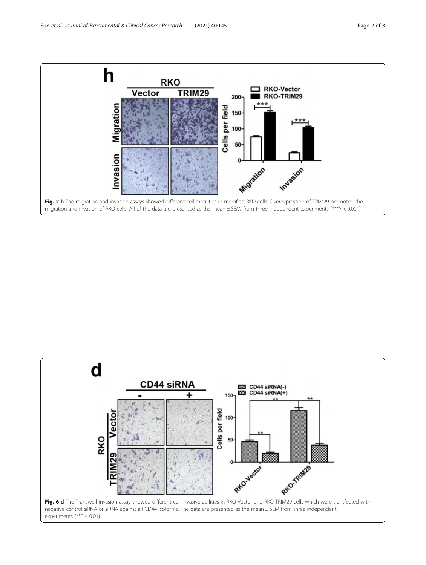<span id="page-1-0"></span>